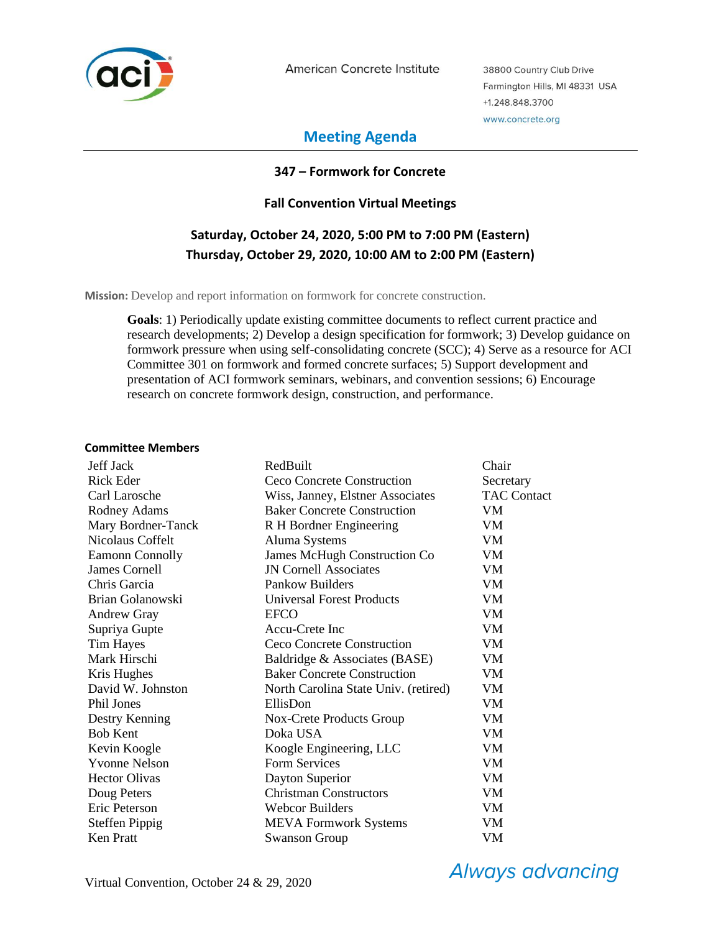

American Concrete Institute

38800 Country Club Drive Farmington Hills, MI 48331 USA +1.248.848.3700 www.concrete.org

## **Meeting Agenda**

#### **347 – Formwork for Concrete**

### **Fall Convention Virtual Meetings**

# **Saturday, October 24, 2020, 5:00 PM to 7:00 PM (Eastern) Thursday, October 29, 2020, 10:00 AM to 2:00 PM (Eastern)**

**Mission:** Develop and report information on formwork for concrete construction.

**Goals**: 1) Periodically update existing committee documents to reflect current practice and research developments; 2) Develop a design specification for formwork; 3) Develop guidance on formwork pressure when using self-consolidating concrete (SCC); 4) Serve as a resource for ACI Committee 301 on formwork and formed concrete surfaces; 5) Support development and presentation of ACI formwork seminars, webinars, and convention sessions; 6) Encourage research on concrete formwork design, construction, and performance.

#### **Committee Members**

| <b>Jeff Jack</b>       | RedBuilt                             | Chair              |
|------------------------|--------------------------------------|--------------------|
| <b>Rick Eder</b>       | <b>Ceco Concrete Construction</b>    | Secretary          |
| Carl Larosche          | Wiss, Janney, Elstner Associates     | <b>TAC Contact</b> |
| Rodney Adams           | <b>Baker Concrete Construction</b>   | VM                 |
| Mary Bordner-Tanck     | R H Bordner Engineering              | VM                 |
| Nicolaus Coffelt       | Aluma Systems                        | VM.                |
| <b>Eamonn Connolly</b> | <b>James McHugh Construction Co</b>  | VM.                |
| James Cornell          | <b>JN Cornell Associates</b>         | VM                 |
| Chris Garcia           | Pankow Builders                      | VM.                |
| Brian Golanowski       | <b>Universal Forest Products</b>     | VM                 |
| <b>Andrew Gray</b>     | <b>EFCO</b>                          | VM                 |
| Supriya Gupte          | Accu-Crete Inc                       | VM.                |
| Tim Hayes              | Ceco Concrete Construction           | VM.                |
| Mark Hirschi           | Baldridge & Associates (BASE)        | <b>VM</b>          |
| Kris Hughes            | <b>Baker Concrete Construction</b>   | VM                 |
| David W. Johnston      | North Carolina State Univ. (retired) | VM                 |
| Phil Jones             | EllisDon                             | VM                 |
| Destry Kenning         | Nox-Crete Products Group             | VM                 |
| <b>Bob Kent</b>        | Doka USA                             | VM.                |
| Kevin Koogle           | Koogle Engineering, LLC              | VM                 |
| <b>Yvonne Nelson</b>   | <b>Form Services</b>                 | VM.                |
| <b>Hector Olivas</b>   | Dayton Superior                      | VM                 |
| Doug Peters            | <b>Christman Constructors</b>        | VM                 |
| Eric Peterson          | <b>Webcor Builders</b>               | VM                 |
| <b>Steffen Pippig</b>  | <b>MEVA</b> Formwork Systems         | VM                 |
| <b>Ken Pratt</b>       | <b>Swanson Group</b>                 | VM                 |

**Always advancing**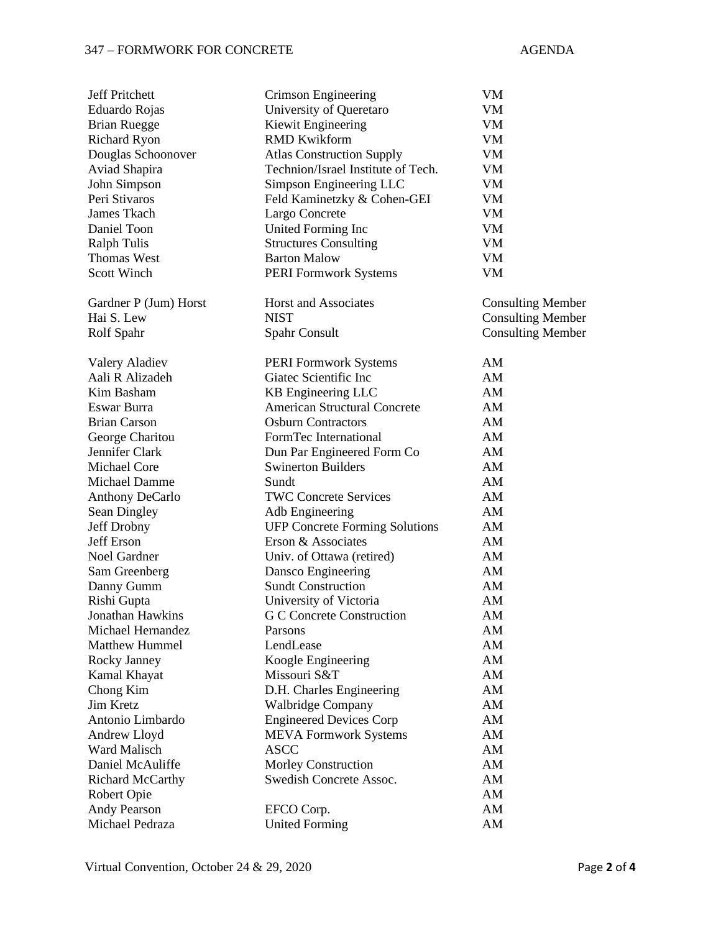## 347 – FORMWORK FOR CONCRETE AGENDA

| <b>Jeff Pritchett</b>     | Crimson Engineering                   | VM                       |
|---------------------------|---------------------------------------|--------------------------|
| Eduardo Rojas             | University of Queretaro               | VM                       |
| <b>Brian Ruegge</b>       | Kiewit Engineering                    | ${\it VM}$               |
| <b>Richard Ryon</b>       | <b>RMD Kwikform</b>                   | VM                       |
| Douglas Schoonover        | <b>Atlas Construction Supply</b>      | VM                       |
| Aviad Shapira             | Technion/Israel Institute of Tech.    | VM                       |
| John Simpson              | Simpson Engineering LLC               | VM                       |
| Peri Stivaros             | Feld Kaminetzky & Cohen-GEI           | VM                       |
| James Tkach               | Largo Concrete                        | VM                       |
| Daniel Toon               | United Forming Inc                    | VM                       |
| <b>Ralph Tulis</b>        | <b>Structures Consulting</b>          | VM                       |
| <b>Thomas West</b>        | <b>Barton Malow</b>                   | VM                       |
| <b>Scott Winch</b>        | <b>PERI Formwork Systems</b>          | VM                       |
|                           |                                       |                          |
| Gardner P (Jum) Horst     | <b>Horst and Associates</b>           | <b>Consulting Member</b> |
| Hai S. Lew                | <b>NIST</b>                           | <b>Consulting Member</b> |
| Rolf Spahr                | Spahr Consult                         | <b>Consulting Member</b> |
|                           |                                       |                          |
| <b>Valery Aladiev</b>     | <b>PERI Formwork Systems</b>          | AM                       |
| Aali R Alizadeh           | Giatec Scientific Inc                 | AM                       |
| Kim Basham                | KB Engineering LLC                    | AM                       |
| Eswar Burra               | <b>American Structural Concrete</b>   | AM                       |
| <b>Brian Carson</b>       | <b>Osburn Contractors</b>             | AM                       |
| George Charitou           | FormTec International                 | AM                       |
| Jennifer Clark            | Dun Par Engineered Form Co            | AM                       |
| Michael Core              | <b>Swinerton Builders</b>             | AM                       |
| Michael Damme             | Sundt                                 | AM                       |
| <b>Anthony DeCarlo</b>    | <b>TWC Concrete Services</b>          | AM                       |
| Sean Dingley              | Adb Engineering                       | AM                       |
| Jeff Drobny               | <b>UFP Concrete Forming Solutions</b> | AM                       |
| <b>Jeff Erson</b>         | Erson & Associates                    | AM                       |
| Noel Gardner              | Univ. of Ottawa (retired)             | AM                       |
| Sam Greenberg             | Dansco Engineering                    | AM                       |
| Danny Gumm                | <b>Sundt Construction</b>             | AM                       |
| Rishi Gupta               | University of Victoria                | AM                       |
| Jonathan Hawkins          | G C Concrete Construction             | AM                       |
| Michael Hernandez         | Parsons                               | AM                       |
| <b>Matthew Hummel</b>     | LendLease                             | AM                       |
| Rocky Janney              | Koogle Engineering                    | AM                       |
|                           | Missouri S&T                          | AM                       |
| Kamal Khayat<br>Chong Kim |                                       | AM                       |
| Jim Kretz                 | D.H. Charles Engineering              |                          |
| Antonio Limbardo          | Walbridge Company                     | AM                       |
|                           | <b>Engineered Devices Corp</b>        | AM                       |
| Andrew Lloyd              | <b>MEVA Formwork Systems</b>          | AM                       |
| Ward Malisch              | <b>ASCC</b>                           | AM                       |
| Daniel McAuliffe          | <b>Morley Construction</b>            | AM                       |
| Richard McCarthy          | Swedish Concrete Assoc.               | AM                       |
| Robert Opie               |                                       | AM                       |
| Andy Pearson              | EFCO Corp.                            | AM                       |
| Michael Pedraza           | <b>United Forming</b>                 | AM                       |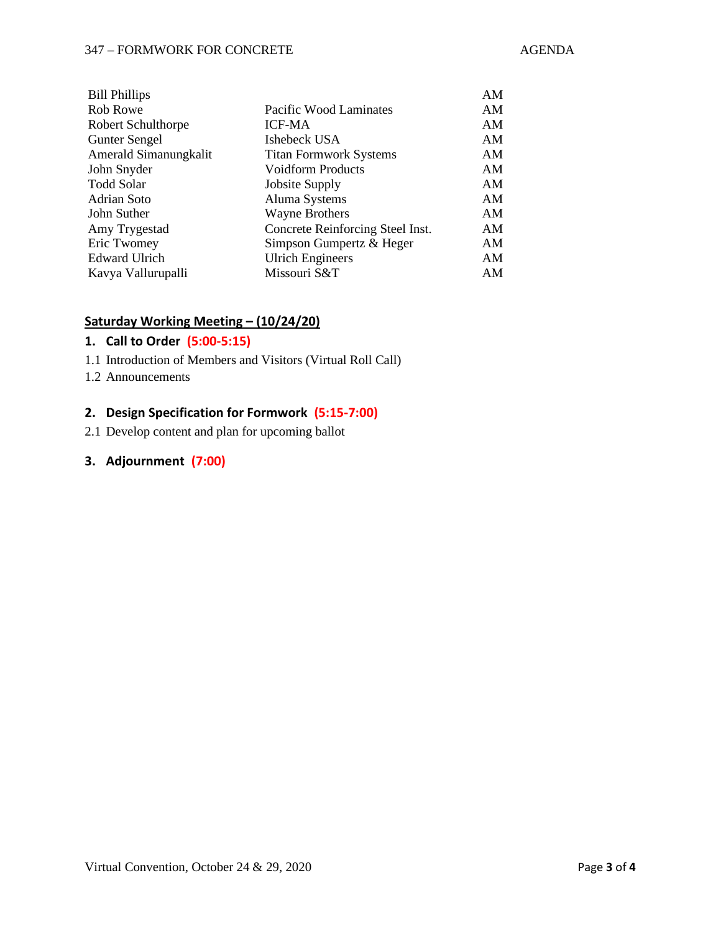#### 347 – FORMWORK FOR CONCRETE AGENDA

| <b>Bill Phillips</b>  |                                  | AM |
|-----------------------|----------------------------------|----|
| Rob Rowe              | Pacific Wood Laminates           | AM |
| Robert Schulthorpe    | <b>ICF-MA</b>                    | AM |
| <b>Gunter Sengel</b>  | Ishebeck USA                     | AM |
| Amerald Simanungkalit | <b>Titan Formwork Systems</b>    | AM |
| John Snyder           | <b>Voidform Products</b>         | AM |
| Todd Solar            | Jobsite Supply                   | AM |
| Adrian Soto           | Aluma Systems                    | AM |
| John Suther           | <b>Wayne Brothers</b>            | AM |
| Amy Trygestad         | Concrete Reinforcing Steel Inst. | AM |
| Eric Twomey           | Simpson Gumpertz & Heger         | ΑM |
| Edward Ulrich         | <b>Ulrich Engineers</b>          | AM |
| Kavya Vallurupalli    | Missouri S&T                     | ΑM |
|                       |                                  |    |

## **Saturday Working Meeting – (10/24/20)**

## **1. Call to Order (5:00-5:15)**

- 1.1 Introduction of Members and Visitors (Virtual Roll Call)
- 1.2 Announcements

## **2. Design Specification for Formwork (5:15-7:00)**

2.1 Develop content and plan for upcoming ballot

#### **3. Adjournment (7:00)**